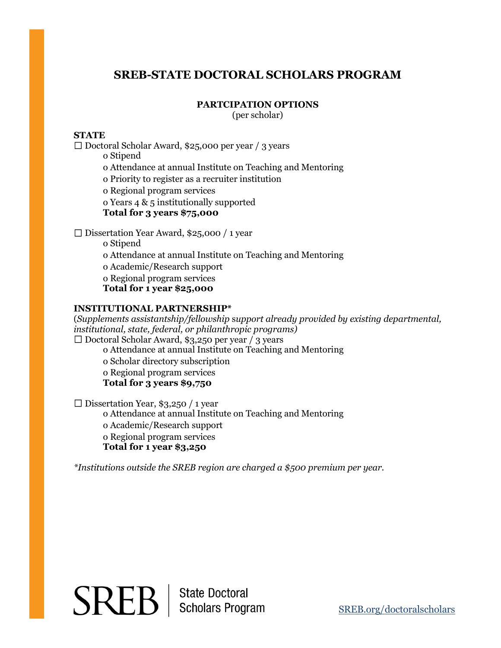# **SREB-STATE DOCTORAL SCHOLARS PROGRAM**

### **PARTCIPATION OPTIONS**

(per scholar)

# **STATE**

□ Doctoral Scholar Award, \$25,000 per year / 3 years o Stipend o Attendance at annual Institute on Teaching and Mentoring o Priority to register as a recruiter institution o Regional program services

o Years 4 & 5 institutionally supported

**Total for 3 years \$75,000** 

Dissertation Year Award, \$25,000 / 1 year

o Stipend

o Attendance at annual Institute on Teaching and Mentoring

o Academic/Research support

o Regional program services

**Total for 1 year \$25,000** 

### **INSTITUTIONAL PARTNERSHIP\***

(*Supplements assistantship/fellowship* s*upport already provided by existing departmental, institutional, state, federal, or philanthropic programs)*   $\Box$  Doctoral Scholar Award, \$3,250 per year / 3 years

o Attendance at annual Institute on Teaching and Mentoring

o Scholar directory subscription

o Regional program services

**Total for 3 years \$9,750**

 $\square$  Dissertation Year, \$3,250 / 1 year

o Attendance at annual Institute on Teaching and Mentoring o Academic/Research support o Regional program services **Total for 1 year \$3,250**

*\*Institutions outside the SREB region are charged a \$500 premium per year.*

# $SREB$  | State Doctoral